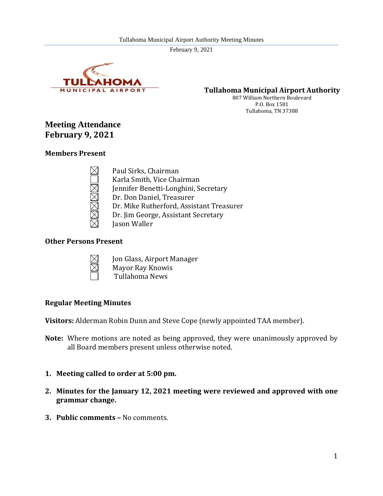

**Tullahoma Municipal Airport Authority**

807 William Northern Boulevard P.O. Box 1581 Tullahoma, TN 37388

# **Meeting Attendance February 9, 2021**

## **Members Present**

Paul Sirks, Chairman Karla Smith, Vice Chairman Jennifer Benetti-Longhini, Secretary Dr. Don Daniel, Treasurer Dr. Mike Rutherford, Assistant Treasurer Dr. Jim George, Assistant Secretary Jason Waller

## **Other Persons Present**



- Jon Glass, Airport Manager Mayor Ray Knowis
- Tullahoma News

## **Regular Meeting Minutes**

**Visitors:** Alderman Robin Dunn and Steve Cope (newly appointed TAA member).

- **Note:** Where motions are noted as being approved, they were unanimously approved by all Board members present unless otherwise noted.
- **1. Meeting called to order at 5:00 pm.**
- **2. Minutes for the January 12, 2021 meeting were reviewed and approved with one grammar change.**
- **3. Public comments –** No comments.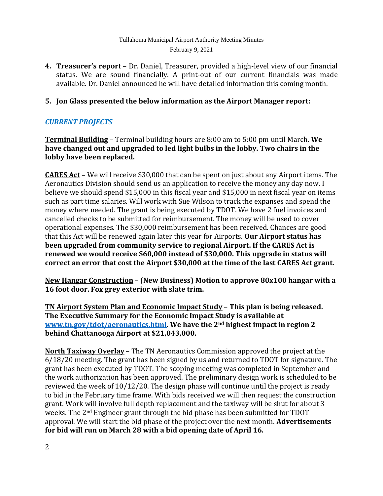**4. Treasurer's report** – Dr. Daniel, Treasurer, provided a high-level view of our financial status. We are sound financially. A print-out of our current financials was made available. Dr. Daniel announced he will have detailed information this coming month.

## **5. Jon Glass presented the below information as the Airport Manager report:**

# *CURRENT PROJECTS*

**Terminal Building** – Terminal building hours are 8:00 am to 5:00 pm until March. **We have changed out and upgraded to led light bulbs in the lobby. Two chairs in the lobby have been replaced.**

**CARES Act –** We will receive \$30,000 that can be spent on just about any Airport items. The Aeronautics Division should send us an application to receive the money any day now. I believe we should spend \$15,000 in this fiscal year and \$15,000 in next fiscal year on items such as part time salaries. Will work with Sue Wilson to track the expanses and spend the money where needed. The grant is being executed by TDOT. We have 2 fuel invoices and cancelled checks to be submitted for reimbursement. The money will be used to cover operational expenses. The \$30,000 reimbursement has been received. Chances are good that this Act will be renewed again later this year for Airports. **Our Airport status has been upgraded from community service to regional Airport. If the CARES Act is renewed we would receive \$60,000 instead of \$30,000. This upgrade in status will correct an error that cost the Airport \$30,000 at the time of the last CARES Act grant.**

**New Hangar Construction** – (**New Business) Motion to approve 80x100 hangar with a 16 foot door. Fox grey exterior with slate trim.**

**TN Airport System Plan and Economic Impact Study** – **This plan is being released. The Executive Summary for the Economic Impact Study is available at [www.tn.gov/tdot/aeronautics.html.](http://www.tn.gov/tdot/aeronautics.html) We have the 2nd highest impact in region 2 behind Chattanooga Airport at \$21,043,000.**

**North Taxiway Overlay** – The TN Aeronautics Commission approved the project at the 6/18/20 meeting. The grant has been signed by us and returned to TDOT for signature. The grant has been executed by TDOT. The scoping meeting was completed in September and the work authorization has been approved. The preliminary design work is scheduled to be reviewed the week of 10/12/20. The design phase will continue until the project is ready to bid in the February time frame. With bids received we will then request the construction grant. Work will involve full depth replacement and the taxiway will be shut for about 3 weeks. The 2nd Engineer grant through the bid phase has been submitted for TDOT approval. We will start the bid phase of the project over the next month. **Advertisements for bid will run on March 28 with a bid opening date of April 16.**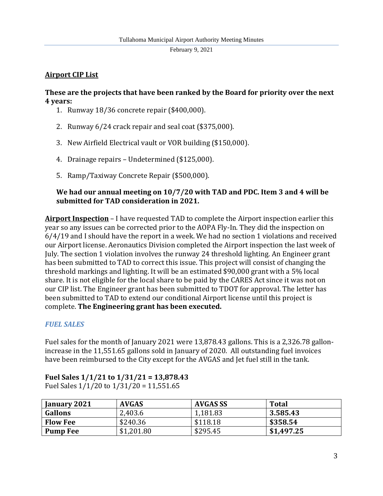# **Airport CIP List**

## **These are the projects that have been ranked by the Board for priority over the next 4 years:**

- 1. Runway 18/36 concrete repair (\$400,000).
- 2. Runway 6/24 crack repair and seal coat (\$375,000).
- 3. New Airfield Electrical vault or VOR building (\$150,000).
- 4. Drainage repairs Undetermined (\$125,000).
- 5. Ramp/Taxiway Concrete Repair (\$500,000).

# **We had our annual meeting on 10/7/20 with TAD and PDC. Item 3 and 4 will be submitted for TAD consideration in 2021.**

**Airport Inspection** – I have requested TAD to complete the Airport inspection earlier this year so any issues can be corrected prior to the AOPA Fly-In. They did the inspection on 6/4/19 and I should have the report in a week. We had no section 1 violations and received our Airport license. Aeronautics Division completed the Airport inspection the last week of July. The section 1 violation involves the runway 24 threshold lighting. An Engineer grant has been submitted to TAD to correct this issue. This project will consist of changing the threshold markings and lighting. It will be an estimated \$90,000 grant with a 5% local share. It is not eligible for the local share to be paid by the CARES Act since it was not on our CIP list. The Engineer grant has been submitted to TDOT for approval. The letter has been submitted to TAD to extend our conditional Airport license until this project is complete. **The Engineering grant has been executed.**

# *FUEL SALES*

Fuel sales for the month of January 2021 were 13,878.43 gallons. This is a 2,326.78 gallonincrease in the 11,551.65 gallons sold in January of 2020. All outstanding fuel invoices have been reimbursed to the City except for the AVGAS and Jet fuel still in the tank.

| January 2021    | <b>AVGAS</b> | <b>AVGAS SS</b> | <b>Total</b> |
|-----------------|--------------|-----------------|--------------|
| <b>Gallons</b>  | 2,403.6      | 1,181.83        | 3.585.43     |
| <b>Flow Fee</b> | \$240.36     | \$118.18        | \$358.54     |
| <b>Pump Fee</b> | \$1,201.80   | \$295.45        | \$1,497.25   |

# **Fuel Sales 1/1/21 to 1/31/21 = 13,878.43**

Fuel Sales 1/1/20 to 1/31/20 = 11,551.65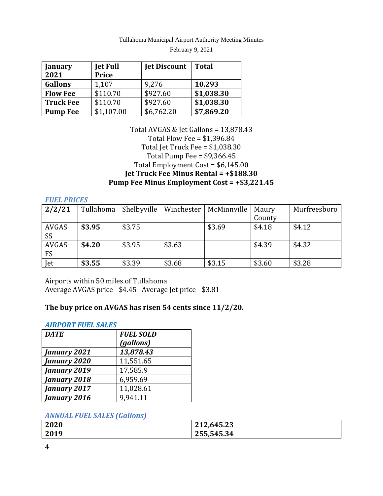| January<br>2021  | <b>Jet Full</b><br>Price | <b>Jet Discount</b> | Total      |
|------------------|--------------------------|---------------------|------------|
| <b>Gallons</b>   | 1,107                    | 9,276               | 10,293     |
| <b>Flow Fee</b>  | \$110.70                 | \$927.60            | \$1,038.30 |
| <b>Truck Fee</b> | \$110.70                 | \$927.60            | \$1,038.30 |
| <b>Pump Fee</b>  | \$1,107.00               | \$6,762.20          | \$7,869.20 |

## Total AVGAS & Jet Gallons = 13,878.43 Total Flow Fee = \$1,396.84 Total Jet Truck Fee = \$1,038.30 Total Pump Fee = \$9,366.45 Total Employment Cost = \$6,145.00 **Jet Truck Fee Minus Rental = +\$188.30 Pump Fee Minus Employment Cost = +\$3,221.45**

#### *FUEL PRICES*

| 2/2/21    | Tullahoma | Shelbyville | Winchester | McMinnville | Maury  | Murfreesboro |
|-----------|-----------|-------------|------------|-------------|--------|--------------|
|           |           |             |            |             | County |              |
| AVGAS     | \$3.95    | \$3.75      |            | \$3.69      | \$4.18 | \$4.12       |
| SS        |           |             |            |             |        |              |
| AVGAS     | \$4.20    | \$3.95      | \$3.63     |             | \$4.39 | \$4.32       |
| <b>FS</b> |           |             |            |             |        |              |
| Jet       | \$3.55    | \$3.39      | \$3.68     | \$3.15      | \$3.60 | \$3.28       |

Airports within 50 miles of Tullahoma Average AVGAS price - \$4.45 Average Jet price - \$3.81

# **The buy price on AVGAS has risen 54 cents since 11/2/20.**

### *AIRPORT FUEL SALES*

| <b>DATE</b>  | <b>FUEL SOLD</b> |
|--------------|------------------|
|              | (gallons)        |
| January 2021 | 13,878.43        |
| January 2020 | 11,551.65        |
| January 2019 | 17,585.9         |
| January 2018 | 6,959.69         |
| January 2017 | 11,028.61        |
| January 2016 | 9.941.11         |

### *ANNUAL FUEL SALES (Gallons)*

| 2020 | 212,645.23 |
|------|------------|
| 2019 | 255,545.34 |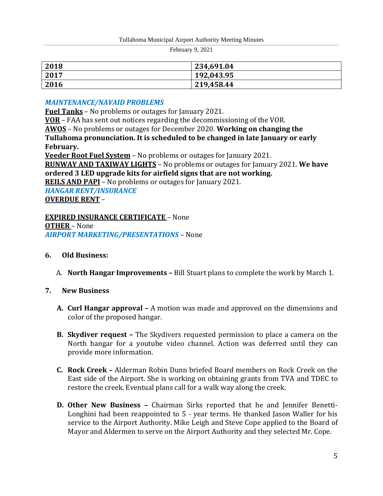| 2018 | 234,691.04 |
|------|------------|
| 2017 | 192,043.95 |
| 2016 | 219,458.44 |

## *MAINTENANCE/NAVAID PROBLEMS*

**Fuel Tanks** – No problems or outages for January 2021.

**VOR** – FAA has sent out notices regarding the decommissioning of the VOR. **AWOS** – No problems or outages for December 2020. **Working on changing the Tullahoma pronunciation. It is scheduled to be changed in late January or early February. Veeder Root Fuel System** – No problems or outages for January 2021. **RUNWAY AND TAXIWAY LIGHTS** – No problems or outages for January 2021. **We have ordered 3 LED upgrade kits for airfield signs that are not working.**

**REILS AND PAPI** – No problems or outages for January 2021.

*HANGAR RENT/INSURANCE* **OVERDUE RENT** –

**EXPIRED INSURANCE CERTIFICATE** – None **OTHER** – None *AIRPORT MARKETING/PRESENTATIONS* – None

- **6. Old Business:**
	- A. **North Hangar Improvements –** Bill Stuart plans to complete the work by March 1.

## **7. New Business**

- **A. Curl Hangar approval –** A motion was made and approved on the dimensions and color of the proposed hangar.
- **B. Skydiver request –** The Skydivers requested permission to place a camera on the North hangar for a youtube video channel. Action was deferred until they can provide more information.
- **C. Rock Creek –** Alderman Robin Dunn briefed Board members on Rock Creek on the East side of the Airport. She is working on obtaining grants from TVA and TDEC to restore the creek. Eventual plans call for a walk way along the creek.
- **D. Other New Business –** Chairman Sirks reported that he and Jennifer Benetti-Longhini had been reappointed to 5 - year terms. He thanked Jason Waller for his service to the Airport Authority. Mike Leigh and Steve Cope applied to the Board of Mayor and Aldermen to serve on the Airport Authority and they selected Mr. Cope.